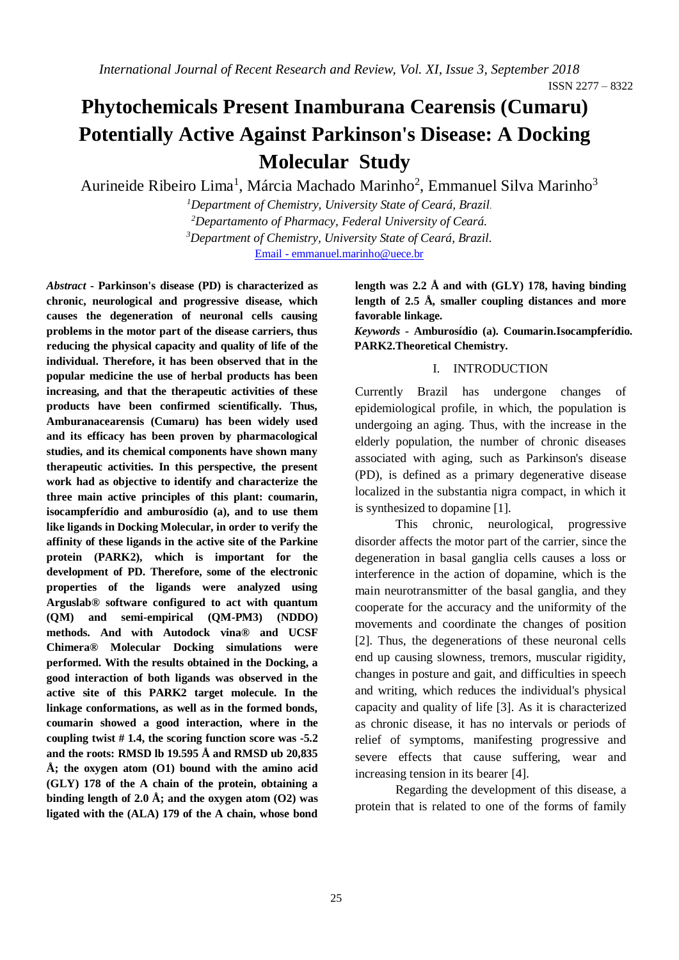# **Phytochemicals Present Inamburana Cearensis (Cumaru) Potentially Active Against Parkinson's Disease: A Docking Molecular Study**

Aurineide Ribeiro Lima<sup>1</sup>, Márcia Machado Marinho<sup>2</sup>, Emmanuel Silva Marinho<sup>3</sup>

*Department of Chemistry, University State of Ceará, Brazil. Departamento of Pharmacy, Federal University of Ceará. Department of Chemistry, University State of Ceará, Brazil.* Email - emmanuel.marinho@uece.br

*Abstract* **- Parkinson's disease (PD) is characterized as chronic, neurological and progressive disease, which causes the degeneration of neuronal cells causing problems in the motor part of the disease carriers, thus reducing the physical capacity and quality of life of the individual. Therefore, it has been observed that in the popular medicine the use of herbal products has been increasing, and that the therapeutic activities of these products have been confirmed scientifically. Thus, Amburanacearensis (Cumaru) has been widely used and its efficacy has been proven by pharmacological studies, and its chemical components have shown many therapeutic activities. In this perspective, the present work had as objective to identify and characterize the three main active principles of this plant: coumarin, isocampferídio and amburosídio (a), and to use them like ligands in Docking Molecular, in order to verify the affinity of these ligands in the active site of the Parkine protein (PARK2), which is important for the development of PD. Therefore, some of the electronic properties of the ligands were analyzed using Arguslab® software configured to act with quantum (QM) and semi-empirical (QM-PM3) (NDDO) methods. And with Autodock vina® and UCSF Chimera® Molecular Docking simulations were performed. With the results obtained in the Docking, a good interaction of both ligands was observed in the active site of this PARK2 target molecule. In the linkage conformations, as well as in the formed bonds, coumarin showed a good interaction, where in the coupling twist # 1.4, the scoring function score was -5.2 and the roots: RMSD lb 19.595 Å and RMSD ub 20,835 Å; the oxygen atom (O1) bound with the amino acid (GLY) 178 of the A chain of the protein, obtaining a binding length of 2.0 Å; and the oxygen atom (O2) was ligated with the (ALA) 179 of the A chain, whose bond** 

**length was 2.2 Å and with (GLY) 178, having binding length of 2.5 Å, smaller coupling distances and more favorable linkage.**

*Keywords* **- Amburosídio (a). Coumarin.Isocampferídio. PARK2.Theoretical Chemistry.**

#### I. INTRODUCTION

Currently Brazil has undergone changes of epidemiological profile, in which, the population is undergoing an aging. Thus, with the increase in the elderly population, the number of chronic diseases associated with aging, such as Parkinson's disease (PD), is defined as a primary degenerative disease localized in the substantia nigra compact, in which it is synthesized to dopamine [1].

This chronic, neurological, progressive disorder affects the motor part of the carrier, since the degeneration in basal ganglia cells causes a loss or interference in the action of dopamine, which is the main neurotransmitter of the basal ganglia, and they cooperate for the accuracy and the uniformity of the movements and coordinate the changes of position [2]. Thus, the degenerations of these neuronal cells end up causing slowness, tremors, muscular rigidity, changes in posture and gait, and difficulties in speech and writing, which reduces the individual's physical capacity and quality of life [3]. As it is characterized as chronic disease, it has no intervals or periods of relief of symptoms, manifesting progressive and severe effects that cause suffering, wear and increasing tension in its bearer [4].

Regarding the development of this disease, a protein that is related to one of the forms of family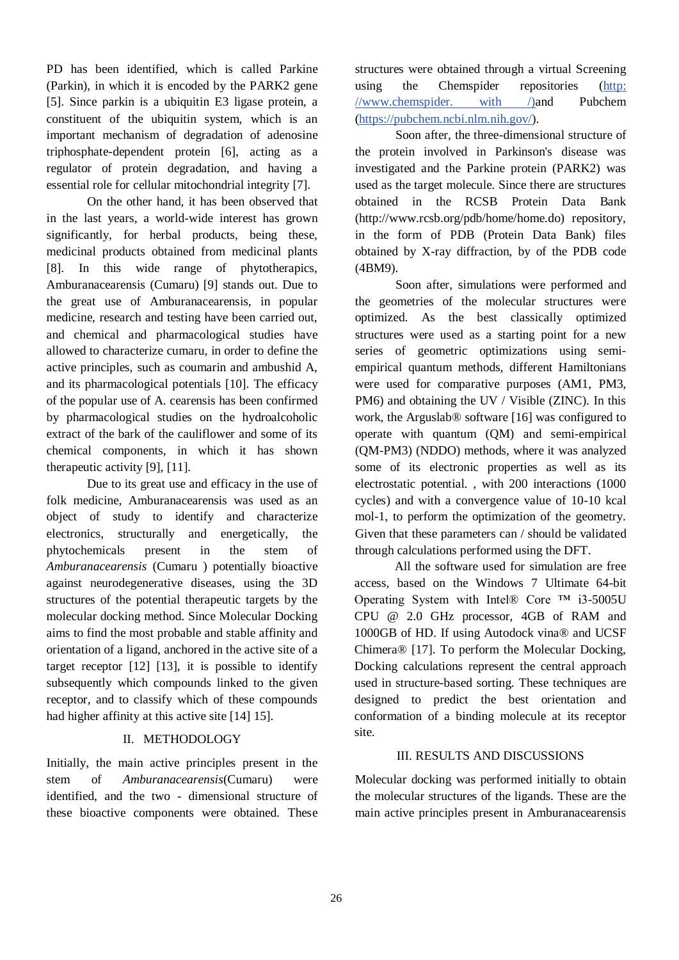PD has been identified, which is called Parkine (Parkin), in which it is encoded by the PARK2 gene [5]. Since parkin is a ubiquitin E3 ligase protein, a constituent of the ubiquitin system, which is an important mechanism of degradation of adenosine triphosphate-dependent protein [6], acting as a regulator of protein degradation, and having a essential role for cellular mitochondrial integrity [7].

On the other hand, it has been observed that in the last years, a world-wide interest has grown significantly, for herbal products, being these, medicinal products obtained from medicinal plants [8]. In this wide range of phytotherapics, Amburanacearensis (Cumaru) [9] stands out. Due to the great use of Amburanacearensis, in popular medicine, research and testing have been carried out, and chemical and pharmacological studies have allowed to characterize cumaru, in order to define the active principles, such as coumarin and ambushid A, and its pharmacological potentials [10]. The efficacy of the popular use of A. cearensis has been confirmed by pharmacological studies on the hydroalcoholic extract of the bark of the cauliflower and some of its chemical components, in which it has shown therapeutic activity [9], [11].

Due to its great use and efficacy in the use of folk medicine, Amburanacearensis was used as an object of study to identify and characterize electronics, structurally and energetically, the phytochemicals present in the stem of *Amburanacearensis* (Cumaru ) potentially bioactive against neurodegenerative diseases, using the 3D structures of the potential therapeutic targets by the molecular docking method. Since Molecular Docking aims to find the most probable and stable affinity and orientation of a ligand, anchored in the active site of a target receptor  $[12]$   $[13]$ , it is possible to identify subsequently which compounds linked to the given receptor, and to classify which of these compounds had higher affinity at this active site [14] 15].

## II. METHODOLOGY

Initially, the main active principles present in the stem of *Amburanacearensis*(Cumaru) were identified, and the two - dimensional structure of these bioactive components were obtained. These structures were obtained through a virtual Screening using the Chemspider repositories (http: //www.chemspider. with /)and Pubchem (https://pubchem.ncbi.nlm.nih.gov/).

Soon after, the three-dimensional structure of the protein involved in Parkinson's disease was investigated and the Parkine protein (PARK2) was used as the target molecule. Since there are structures obtained in the RCSB Protein Data Bank (http://www.rcsb.org/pdb/home/home.do) repository, in the form of PDB (Protein Data Bank) files obtained by X-ray diffraction, by of the PDB code (4BM9).

Soon after, simulations were performed and the geometries of the molecular structures were optimized. As the best classically optimized structures were used as a starting point for a new series of geometric optimizations using semiempirical quantum methods, different Hamiltonians were used for comparative purposes (AM1, PM3, PM6) and obtaining the UV / Visible (ZINC). In this work, the Arguslab® software [16] was configured to operate with quantum (QM) and semi-empirical (QM-PM3) (NDDO) methods, where it was analyzed some of its electronic properties as well as its electrostatic potential. , with 200 interactions (1000 cycles) and with a convergence value of 10-10 kcal mol-1, to perform the optimization of the geometry. Given that these parameters can / should be validated through calculations performed using the DFT.

All the software used for simulation are free access, based on the Windows 7 Ultimate 64-bit Operating System with Intel® Core ™ i3-5005U CPU @ 2.0 GHz processor, 4GB of RAM and 1000GB of HD. If using Autodock vina® and UCSF Chimera® [17]. To perform the Molecular Docking, Docking calculations represent the central approach used in structure-based sorting. These techniques are designed to predict the best orientation and conformation of a binding molecule at its receptor site.

#### III. RESULTS AND DISCUSSIONS

Molecular docking was performed initially to obtain the molecular structures of the ligands. These are the main active principles present in Amburanacearensis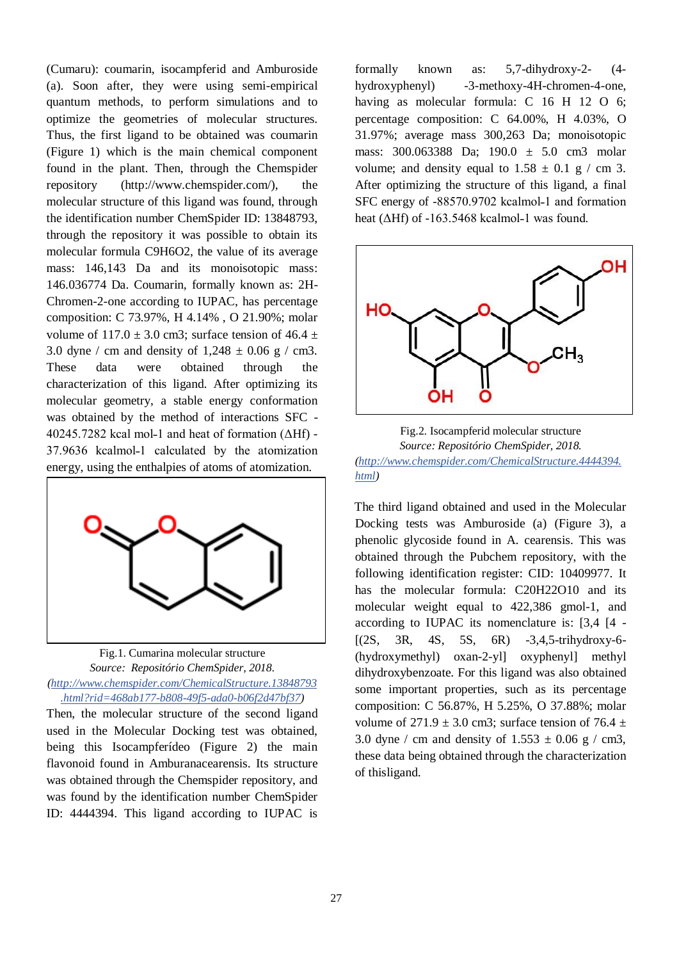(Cumaru): coumarin, isocampferid and Amburoside (a). Soon after, they were using semi-empirical quantum methods, to perform simulations and to optimize the geometries of molecular structures. Thus, the first ligand to be obtained was coumarin (Figure 1) which is the main chemical component found in the plant. Then, through the Chemspider repository (http://www.chemspider.com/), the molecular structure of this ligand was found, through the identification number ChemSpider ID: 13848793, through the repository it was possible to obtain its molecular formula C9H6O2, the value of its average mass: 146,143 Da and its monoisotopic mass: 146.036774 Da. Coumarin, formally known as: 2H-Chromen-2-one according to IUPAC, has percentage composition: C 73.97%, H 4.14% , O 21.90%; molar volume of  $117.0 \pm 3.0$  cm3; surface tension of  $46.4 \pm$ 3.0 dyne / cm and density of  $1,248 \pm 0.06$  g / cm3. These data were obtained through the characterization of this ligand. After optimizing its molecular geometry, a stable energy conformation was obtained by the method of interactions SFC -  $40245.7282$  kcal mol-1 and heat of formation ( $\triangle Hf$ ) -37.9636 kcalmol-1 calculated by the atomization energy, using the enthalpies of atoms of atomization.



Fig.1. Cumarina molecular structure *Source: Repositório ChemSpider, 2018. (http://www.chemspider.com/ChemicalStructure.13848793 .html?rid=468ab177-b808-49f5-ada0-b06f2d47bf37)*

Then, the molecular structure of the second ligand used in the Molecular Docking test was obtained, being this Isocampferídeo (Figure 2) the main flavonoid found in Amburanacearensis. Its structure was obtained through the Chemspider repository, and was found by the identification number ChemSpider ID: 4444394. This ligand according to IUPAC is

formally known as: 5,7-dihydroxy-2- (4 hydroxyphenyl) -3-methoxy-4H-chromen-4-one, having as molecular formula: C 16 H 12 O 6; percentage composition: C 64.00%, H 4.03%, O 31.97%; average mass 300,263 Da; monoisotopic mass: 300.063388 Da; 190.0 ± 5.0 cm3 molar volume; and density equal to  $1.58 \pm 0.1$  g / cm 3. After optimizing the structure of this ligand, a final SFC energy of -88570.9702 kcalmol-1 and formation heat ( $\Delta Hf$ ) of -163.5468 kcalmol-1 was found.



Fig.2. Isocampferid molecular structure *Source: Repositório ChemSpider, 2018. (http://www.chemspider.com/ChemicalStructure.4444394. html)*

The third ligand obtained and used in the Molecular Docking tests was Amburoside (a) (Figure 3), a phenolic glycoside found in A. cearensis. This was obtained through the Pubchem repository, with the following identification register: CID: 10409977. It has the molecular formula: C20H22O10 and its molecular weight equal to 422,386 gmol-1, and according to IUPAC its nomenclature is: [3,4 [4 -  $[(2S, 3R, 4S, 5S, 6R) -3, 4, 5-trihydroxy-6-$ (hydroxymethyl) oxan-2-yl] oxyphenyl] methyl dihydroxybenzoate. For this ligand was also obtained some important properties, such as its percentage composition: C 56.87%, H 5.25%, O 37.88%; molar volume of  $271.9 \pm 3.0$  cm3; surface tension of 76.4  $\pm$ 3.0 dyne / cm and density of  $1.553 \pm 0.06$  g / cm3, these data being obtained through the characterization of thisligand.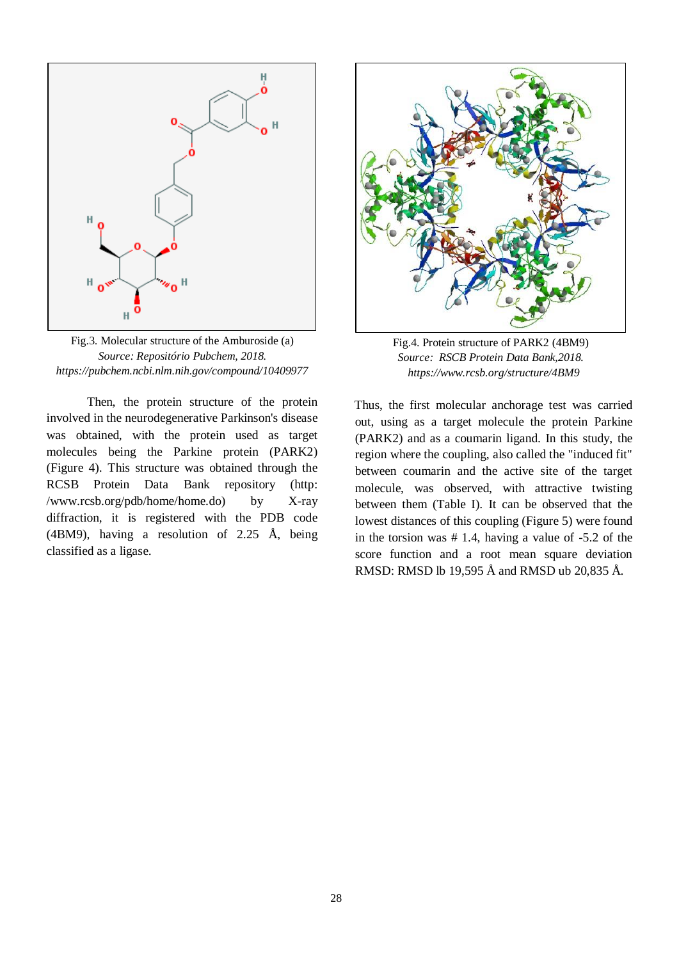

Fig.3. Molecular structure of the Amburoside (a) *Source: Repositório Pubchem, 2018. https://pubchem.ncbi.nlm.nih.gov/compound/10409977*

Then, the protein structure of the protein involved in the neurodegenerative Parkinson's disease was obtained, with the protein used as target molecules being the Parkine protein (PARK2) (Figure 4). This structure was obtained through the RCSB Protein Data Bank repository (http: /www.rcsb.org/pdb/home/home.do) by X-ray diffraction, it is registered with the PDB code (4BM9), having a resolution of 2.25 Å, being classified as a ligase.



Fig.4. Protein structure of PARK2 (4BM9) *Source: RSCB Protein Data Bank,2018. <https://www.rcsb.org/structure/4BM9>*

Thus, the first molecular anchorage test was carried out, using as a target molecule the protein Parkine (PARK2) and as a coumarin ligand. In this study, the region where the coupling, also called the "induced fit" between coumarin and the active site of the target molecule, was observed, with attractive twisting between them (Table I). It can be observed that the lowest distances of this coupling (Figure 5) were found in the torsion was # 1.4, having a value of -5.2 of the score function and a root mean square deviation RMSD: RMSD lb 19,595 Å and RMSD ub 20,835 Å.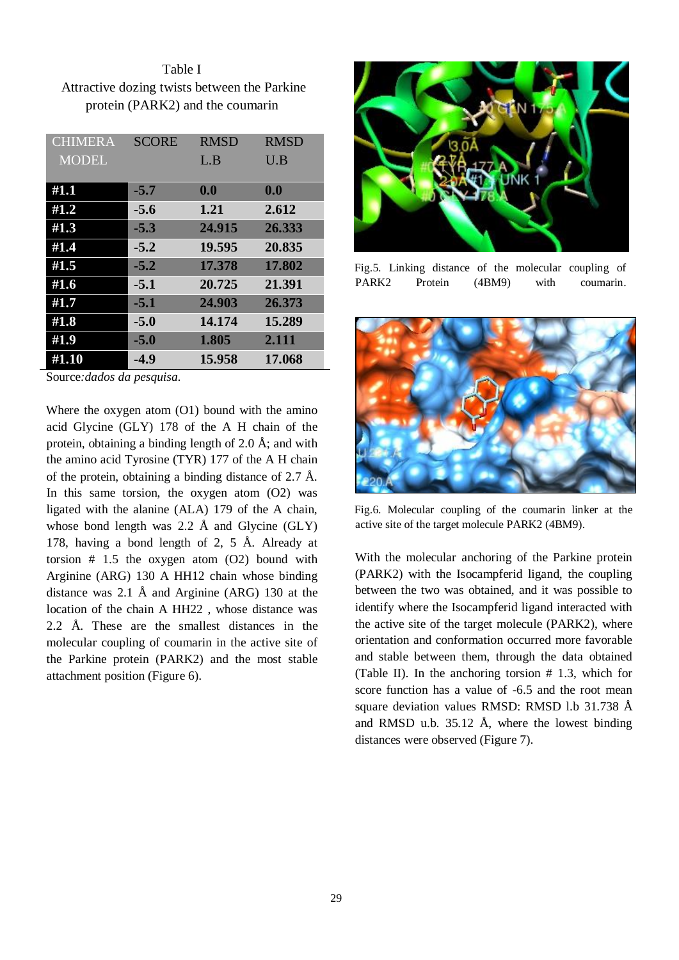Table I Attractive dozing twists between the Parkine protein (PARK2) and the coumarin

| <b>CHIMERA</b> | <b>SCORE</b> | <b>RMSD</b> | <b>RMSD</b> |
|----------------|--------------|-------------|-------------|
| <b>MODEL</b>   |              | L.B         | U.B         |
|                |              |             |             |
| #1.1           | $-5.7$       | 0.0         | 0.0         |
| #1.2           | $-5.6$       | 1.21        | 2.612       |
| #1.3           | $-5.3$       | 24.915      | 26.333      |
| #1.4           | $-5.2$       | 19.595      | 20.835      |
| #1.5           | $-5.2$       | 17.378      | 17.802      |
| #1.6           | $-5.1$       | 20.725      | 21.391      |
| #1.7           | $-5.1$       | 24.903      | 26.373      |
| #1.8           | $-5.0$       | 14.174      | 15.289      |
| #1.9           | $-5.0$       | 1.805       | 2.111       |
| #1.10          | $-4.9$       | 15.958      | 17.068      |

Source*:dados da pesquisa.* 

Where the oxygen atom (O1) bound with the amino acid Glycine (GLY) 178 of the A H chain of the protein, obtaining a binding length of 2.0 Å; and with the amino acid Tyrosine (TYR) 177 of the A H chain of the protein, obtaining a binding distance of 2.7 Å. In this same torsion, the oxygen atom (O2) was ligated with the alanine (ALA) 179 of the A chain, whose bond length was 2.2 Å and Glycine (GLY) 178, having a bond length of 2, 5 Å. Already at torsion # 1.5 the oxygen atom (O2) bound with Arginine (ARG) 130 A HH12 chain whose binding distance was 2.1 Å and Arginine (ARG) 130 at the location of the chain A HH22 , whose distance was 2.2 Å. These are the smallest distances in the molecular coupling of coumarin in the active site of the Parkine protein (PARK2) and the most stable attachment position (Figure 6).



Fig.5. Linking distance of the molecular coupling of PARK2 Protein (4BM9) with coumarin.



Fig.6. Molecular coupling of the coumarin linker at the active site of the target molecule PARK2 (4BM9).

With the molecular anchoring of the Parkine protein (PARK2) with the Isocampferid ligand, the coupling between the two was obtained, and it was possible to identify where the Isocampferid ligand interacted with the active site of the target molecule (PARK2), where orientation and conformation occurred more favorable and stable between them, through the data obtained (Table II). In the anchoring torsion # 1.3, which for score function has a value of -6.5 and the root mean square deviation values RMSD: RMSD l.b 31.738 Å and RMSD u.b. 35.12 Å, where the lowest binding distances were observed (Figure 7).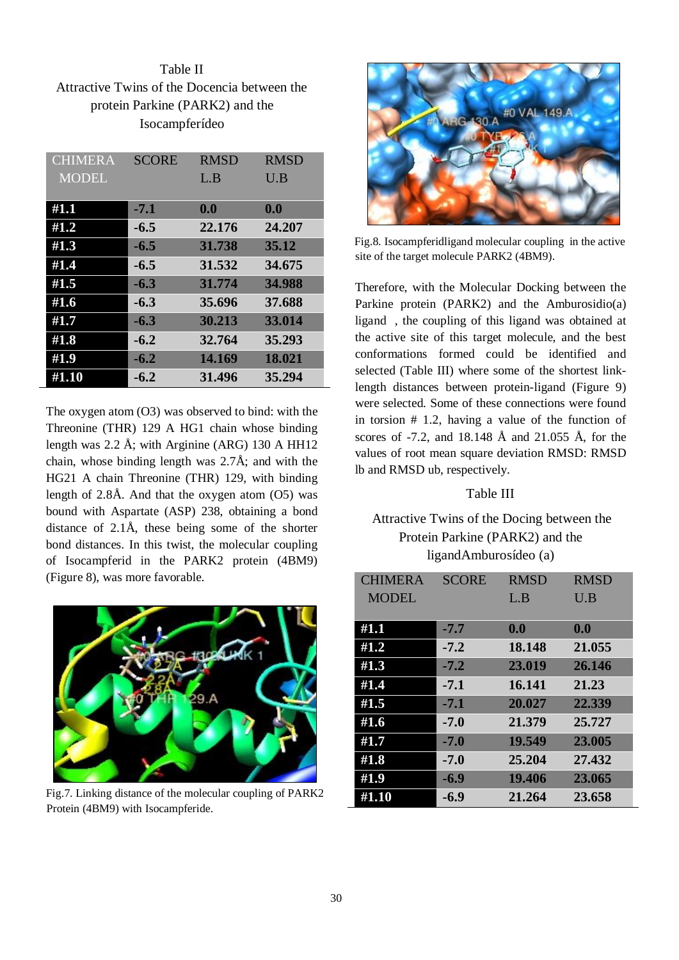Table II Attractive Twins of the Docencia between the protein Parkine (PARK2) and the Isocampferídeo

| <b>CHIMERA</b> | <b>SCORE</b> | <b>RMSD</b> | <b>RMSD</b> |
|----------------|--------------|-------------|-------------|
| <b>MODEL</b>   |              | L.B         | U.B         |
|                |              |             |             |
| #1.1           | $-7.1$       | 0.0         | 0.0         |
| #1.2           | $-6.5$       | 22.176      | 24.207      |
| #1.3           | $-6.5$       | 31.738      | 35.12       |
| #1.4           | $-6.5$       | 31.532      | 34.675      |
| #1.5           | $-6.3$       | 31.774      | 34.988      |
| #1.6           | $-6.3$       | 35.696      | 37.688      |
| #1.7           | $-6.3$       | 30.213      | 33.014      |
| #1.8           | $-6.2$       | 32.764      | 35.293      |
| #1.9           | $-6.2$       | 14.169      | 18.021      |
| #1.10          | $-6.2$       | 31.496      | 35.294      |

The oxygen atom (O3) was observed to bind: with the Threonine (THR) 129 A HG1 chain whose binding length was 2.2 Å; with Arginine (ARG) 130 A HH12 chain, whose binding length was 2.7Å; and with the HG21 A chain Threonine (THR) 129, with binding length of  $2.8\text{\AA}$ . And that the oxygen atom (O5) was bound with Aspartate (ASP) 238, obtaining a bond distance of 2.1Å, these being some of the shorter bond distances. In this twist, the molecular coupling of Isocampferid in the PARK2 protein (4BM9) (Figure 8), was more favorable.



Fig.7. Linking distance of the molecular coupling of PARK2 Protein (4BM9) with Isocampferide.



Fig.8. Isocampferidligand molecular coupling in the active site of the target molecule PARK2 (4BM9).

Therefore, with the Molecular Docking between the Parkine protein (PARK2) and the Amburosidio(a) ligand , the coupling of this ligand was obtained at the active site of this target molecule, and the best conformations formed could be identified and selected (Table III) where some of the shortest linklength distances between protein-ligand (Figure 9) were selected. Some of these connections were found in torsion # 1.2, having a value of the function of scores of -7.2, and 18.148 Å and 21.055 Å, for the values of root mean square deviation RMSD: RMSD lb and RMSD ub, respectively.

## Table III

## Attractive Twins of the Docing between the Protein Parkine (PARK2) and the ligandAmburosídeo (a)

| <b>CHIMERA</b> | <b>SCORE</b> | <b>RMSD</b> | <b>RMSD</b> |
|----------------|--------------|-------------|-------------|
| <b>MODEL</b>   |              | L.B         | U.B         |
|                |              |             |             |
| #1.1           | $-7.7$       | 0.0         | 0.0         |
| #1.2           | $-7.2$       | 18.148      | 21.055      |
| #1.3           | $-7.2$       | 23.019      | 26.146      |
| #1.4           | $-7.1$       | 16.141      | 21.23       |
| #1.5           | $-7.1$       | 20.027      | 22.339      |
| #1.6           | $-7.0$       | 21.379      | 25.727      |
| #1.7           | $-7.0$       | 19.549      | 23.005      |
| #1.8           | $-7.0$       | 25.204      | 27.432      |
| #1.9           | $-6.9$       | 19.406      | 23.065      |
| #1.10          | $-6.9$       | 21.264      | 23.658      |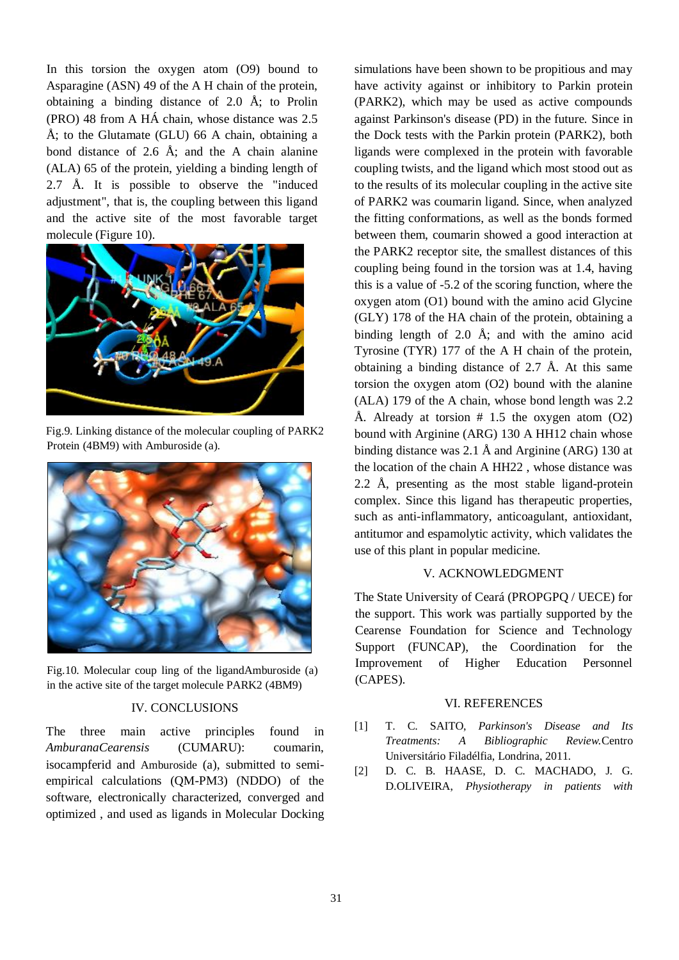In this torsion the oxygen atom (O9) bound to Asparagine (ASN) 49 of the A H chain of the protein, obtaining a binding distance of 2.0 Å; to Prolin (PRO) 48 from A HÁ chain, whose distance was 2.5 Å; to the Glutamate (GLU) 66 A chain, obtaining a bond distance of 2.6  $\AA$ ; and the A chain alanine (ALA) 65 of the protein, yielding a binding length of 2.7 Å. It is possible to observe the "induced adjustment", that is, the coupling between this ligand and the active site of the most favorable target molecule (Figure 10).



Fig.9. Linking distance of the molecular coupling of PARK2 Protein (4BM9) with Amburoside (a).



Fig.10. Molecular coup ling of the ligandAmburoside (a) in the active site of the target molecule PARK2 (4BM9)

### IV. CONCLUSIONS

The three main active principles found in *AmburanaCearensis* (CUMARU): coumarin, isocampferid and Amburoside (a), submitted to semiempirical calculations (QM-PM3) (NDDO) of the software, electronically characterized, converged and optimized , and used as ligands in Molecular Docking

simulations have been shown to be propitious and may have activity against or inhibitory to Parkin protein (PARK2), which may be used as active compounds against Parkinson's disease (PD) in the future. Since in the Dock tests with the Parkin protein (PARK2), both ligands were complexed in the protein with favorable coupling twists, and the ligand which most stood out as to the results of its molecular coupling in the active site of PARK2 was coumarin ligand. Since, when analyzed the fitting conformations, as well as the bonds formed between them, coumarin showed a good interaction at the PARK2 receptor site, the smallest distances of this coupling being found in the torsion was at 1.4, having this is a value of -5.2 of the scoring function, where the oxygen atom (O1) bound with the amino acid Glycine (GLY) 178 of the HA chain of the protein, obtaining a binding length of 2.0 Å; and with the amino acid Tyrosine (TYR) 177 of the A H chain of the protein, obtaining a binding distance of 2.7 Å. At this same torsion the oxygen atom (O2) bound with the alanine (ALA) 179 of the A chain, whose bond length was 2.2 Å. Already at torsion  $# 1.5$  the oxygen atom (O2) bound with Arginine (ARG) 130 A HH12 chain whose binding distance was 2.1 Å and Arginine (ARG) 130 at the location of the chain A HH22 , whose distance was 2.2 Å, presenting as the most stable ligand-protein complex. Since this ligand has therapeutic properties, such as anti-inflammatory, anticoagulant, antioxidant, antitumor and espamolytic activity, which validates the use of this plant in popular medicine.

#### V. ACKNOWLEDGMENT

The State University of Ceará (PROPGPQ / UECE) for the support. This work was partially supported by the Cearense Foundation for Science and Technology Support (FUNCAP), the Coordination for the Improvement of Higher Education Personnel (CAPES).

#### VI. REFERENCES

- [1] T. C. SAITO, *Parkinson's Disease and Its Treatments: A Bibliographic Review.*Centro Universitário Filadélfia, Londrina, 2011.
- [2] D. C. B. HAASE, D. C. MACHADO, J. G. D.OLIVEIRA, *Physiotherapy in patients with*